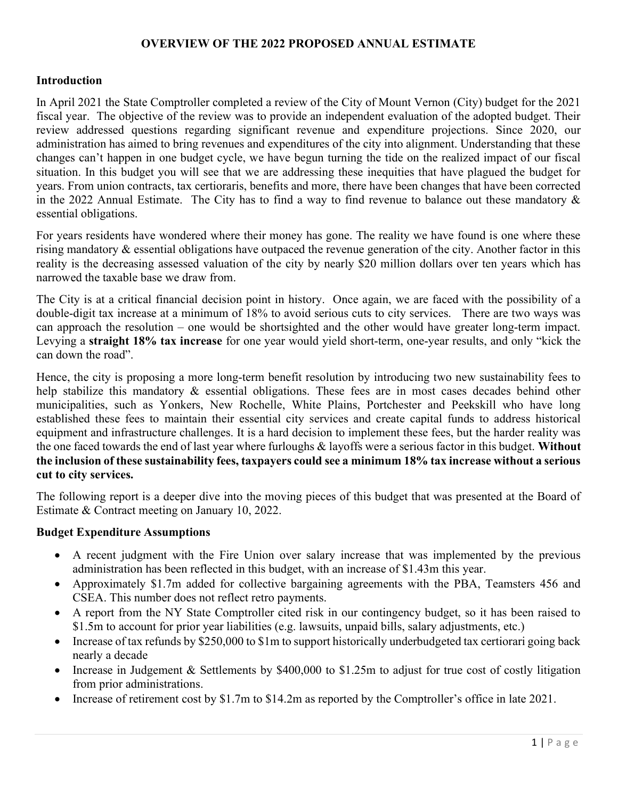## OVERVIEW OF THE 2022 PROPOSED ANNUAL ESTIMATE

#### **Introduction**

In April 2021 the State Comptroller completed a review of the City of Mount Vernon (City) budget for the 2021 fiscal year. The objective of the review was to provide an independent evaluation of the adopted budget. Their review addressed questions regarding significant revenue and expenditure projections. Since 2020, our administration has aimed to bring revenues and expenditures of the city into alignment. Understanding that these changes can't happen in one budget cycle, we have begun turning the tide on the realized impact of our fiscal situation. In this budget you will see that we are addressing these inequities that have plagued the budget for years. From union contracts, tax certioraris, benefits and more, there have been changes that have been corrected in the 2022 Annual Estimate. The City has to find a way to find revenue to balance out these mandatory & essential obligations.

For years residents have wondered where their money has gone. The reality we have found is one where these rising mandatory & essential obligations have outpaced the revenue generation of the city. Another factor in this reality is the decreasing assessed valuation of the city by nearly \$20 million dollars over ten years which has narrowed the taxable base we draw from.

The City is at a critical financial decision point in history. Once again, we are faced with the possibility of a double-digit tax increase at a minimum of 18% to avoid serious cuts to city services. There are two ways was can approach the resolution – one would be shortsighted and the other would have greater long-term impact. Levying a straight 18% tax increase for one year would yield short-term, one-year results, and only "kick the can down the road".

Hence, the city is proposing a more long-term benefit resolution by introducing two new sustainability fees to help stabilize this mandatory & essential obligations. These fees are in most cases decades behind other municipalities, such as Yonkers, New Rochelle, White Plains, Portchester and Peekskill who have long established these fees to maintain their essential city services and create capital funds to address historical equipment and infrastructure challenges. It is a hard decision to implement these fees, but the harder reality was the one faced towards the end of last year where furloughs & layoffs were a serious factor in this budget. Without the inclusion of these sustainability fees, taxpayers could see a minimum 18% tax increase without a serious cut to city services.

The following report is a deeper dive into the moving pieces of this budget that was presented at the Board of Estimate & Contract meeting on January 10, 2022.

#### Budget Expenditure Assumptions

- A recent judgment with the Fire Union over salary increase that was implemented by the previous administration has been reflected in this budget, with an increase of \$1.43m this year.
- Approximately \$1.7m added for collective bargaining agreements with the PBA, Teamsters 456 and CSEA. This number does not reflect retro payments.
- A report from the NY State Comptroller cited risk in our contingency budget, so it has been raised to \$1.5m to account for prior year liabilities (e.g. lawsuits, unpaid bills, salary adjustments, etc.)
- Increase of tax refunds by \$250,000 to \$1m to support historically underbudgeted tax certiorari going back nearly a decade
- Increase in Judgement & Settlements by \$400,000 to \$1.25m to adjust for true cost of costly litigation from prior administrations.
- Increase of retirement cost by \$1.7m to \$14.2m as reported by the Comptroller's office in late 2021.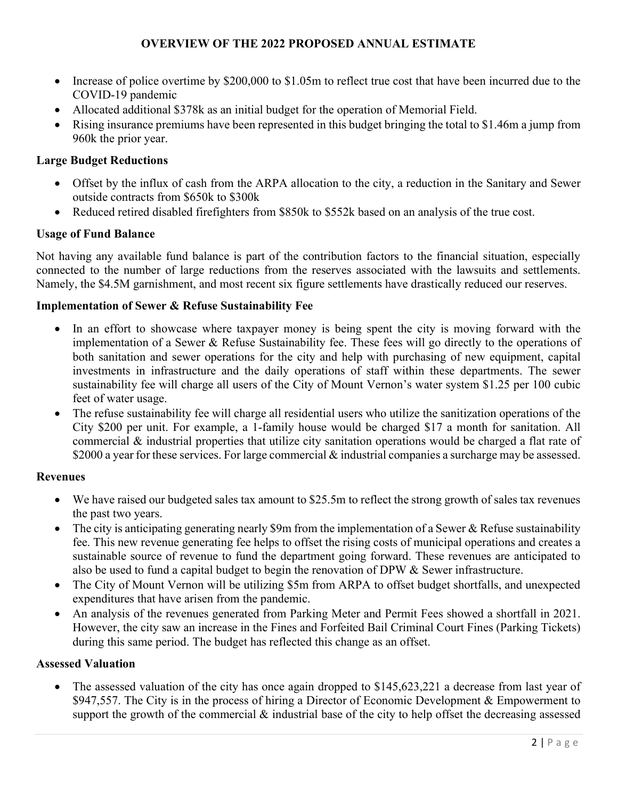# OVERVIEW OF THE 2022 PROPOSED ANNUAL ESTIMATE

- Increase of police overtime by \$200,000 to \$1.05m to reflect true cost that have been incurred due to the COVID-19 pandemic
- Allocated additional \$378k as an initial budget for the operation of Memorial Field.
- Rising insurance premiums have been represented in this budget bringing the total to \$1.46m a jump from 960k the prior year.

## Large Budget Reductions

- Offset by the influx of cash from the ARPA allocation to the city, a reduction in the Sanitary and Sewer outside contracts from \$650k to \$300k
- Reduced retired disabled firefighters from \$850k to \$552k based on an analysis of the true cost.

# Usage of Fund Balance

Not having any available fund balance is part of the contribution factors to the financial situation, especially connected to the number of large reductions from the reserves associated with the lawsuits and settlements. Namely, the \$4.5M garnishment, and most recent six figure settlements have drastically reduced our reserves.

## Implementation of Sewer & Refuse Sustainability Fee

- In an effort to showcase where taxpayer money is being spent the city is moving forward with the implementation of a Sewer & Refuse Sustainability fee. These fees will go directly to the operations of both sanitation and sewer operations for the city and help with purchasing of new equipment, capital investments in infrastructure and the daily operations of staff within these departments. The sewer sustainability fee will charge all users of the City of Mount Vernon's water system \$1.25 per 100 cubic feet of water usage.
- The refuse sustainability fee will charge all residential users who utilize the sanitization operations of the City \$200 per unit. For example, a 1-family house would be charged \$17 a month for sanitation. All commercial & industrial properties that utilize city sanitation operations would be charged a flat rate of \$2000 a year for these services. For large commercial & industrial companies a surcharge may be assessed.

## Revenues

- We have raised our budgeted sales tax amount to \$25.5m to reflect the strong growth of sales tax revenues the past two years.
- The city is anticipating generating nearly \$9m from the implementation of a Sewer & Refuse sustainability fee. This new revenue generating fee helps to offset the rising costs of municipal operations and creates a sustainable source of revenue to fund the department going forward. These revenues are anticipated to also be used to fund a capital budget to begin the renovation of DPW & Sewer infrastructure.
- The City of Mount Vernon will be utilizing \$5m from ARPA to offset budget shortfalls, and unexpected expenditures that have arisen from the pandemic.
- An analysis of the revenues generated from Parking Meter and Permit Fees showed a shortfall in 2021. However, the city saw an increase in the Fines and Forfeited Bail Criminal Court Fines (Parking Tickets) during this same period. The budget has reflected this change as an offset.

## Assessed Valuation

• The assessed valuation of the city has once again dropped to \$145,623,221 a decrease from last year of \$947,557. The City is in the process of hiring a Director of Economic Development & Empowerment to support the growth of the commercial  $\&$  industrial base of the city to help offset the decreasing assessed